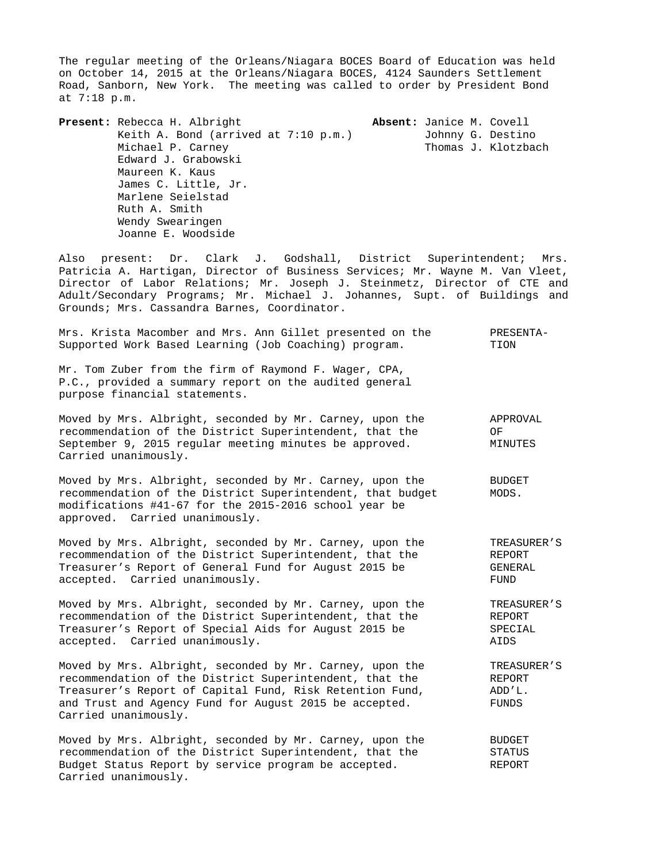The regular meeting of the Orleans/Niagara BOCES Board of Education was held on October 14, 2015 at the Orleans/Niagara BOCES, 4124 Saunders Settlement Road, Sanborn, New York. The meeting was called to order by President Bond at 7:18 p.m.

**Present:** Rebecca H. Albright **Absent:** Janice M. Covell Keith A. Bond (arrived at 7:10 p.m.) Johnny G. Destino Michael P. Carney Thomas J. Klotzbach Edward J. Grabowski Maureen K. Kaus James C. Little, Jr. Marlene Seielstad Ruth A. Smith Wendy Swearingen Joanne E. Woodside

Also present: Dr. Clark J. Godshall, District Superintendent; Mrs. Patricia A. Hartigan, Director of Business Services; Mr. Wayne M. Van Vleet, Director of Labor Relations; Mr. Joseph J. Steinmetz, Director of CTE and Adult/Secondary Programs; Mr. Michael J. Johannes, Supt. of Buildings and Grounds; Mrs. Cassandra Barnes, Coordinator.

| Mrs. Krista Macomber and Mrs. Ann Gillet presented on the                                                                                                                                                                                                         | PRESENTA-                                |
|-------------------------------------------------------------------------------------------------------------------------------------------------------------------------------------------------------------------------------------------------------------------|------------------------------------------|
| Supported Work Based Learning (Job Coaching) program.                                                                                                                                                                                                             | TION                                     |
| Mr. Tom Zuber from the firm of Raymond F. Wager, CPA,<br>P.C., provided a summary report on the audited general<br>purpose financial statements.                                                                                                                  |                                          |
| Moved by Mrs. Albright, seconded by Mr. Carney, upon the<br>recommendation of the District Superintendent, that the<br>September 9, 2015 reqular meeting minutes be approved.<br>Carried unanimously.                                                             | APPROVAL<br>ΟF<br>MINUTES                |
| Moved by Mrs. Albright, seconded by Mr. Carney, upon the<br>recommendation of the District Superintendent, that budget<br>modifications #41-67 for the 2015-2016 school year be<br>approved. Carried unanimously.                                                 | <b>BUDGET</b><br>MODS.                   |
| Moved by Mrs. Albright, seconded by Mr. Carney, upon the                                                                                                                                                                                                          | TREASURER'S                              |
| recommendation of the District Superintendent, that the                                                                                                                                                                                                           | REPORT                                   |
| Treasurer's Report of General Fund for August 2015 be                                                                                                                                                                                                             | GENERAL                                  |
| accepted. Carried unanimously.                                                                                                                                                                                                                                    | FUND                                     |
| Moved by Mrs. Albright, seconded by Mr. Carney, upon the                                                                                                                                                                                                          | TREASURER'S                              |
| recommendation of the District Superintendent, that the                                                                                                                                                                                                           | REPORT                                   |
| Treasurer's Report of Special Aids for August 2015 be                                                                                                                                                                                                             | SPECIAL                                  |
| accepted. Carried unanimously.                                                                                                                                                                                                                                    | AIDS                                     |
| Moved by Mrs. Albright, seconded by Mr. Carney, upon the<br>recommendation of the District Superintendent, that the<br>Treasurer's Report of Capital Fund, Risk Retention Fund,<br>and Trust and Agency Fund for August 2015 be accepted.<br>Carried unanimously. | TREASURER'S<br>REPORT<br>ADD'L.<br>FUNDS |
| Moved by Mrs. Albright, seconded by Mr. Carney, upon the                                                                                                                                                                                                          | <b>BUDGET</b>                            |
| recommendation of the District Superintendent, that the                                                                                                                                                                                                           | STATUS                                   |
| Budget Status Report by service program be accepted.                                                                                                                                                                                                              | <b>REPORT</b>                            |

Carried unanimously.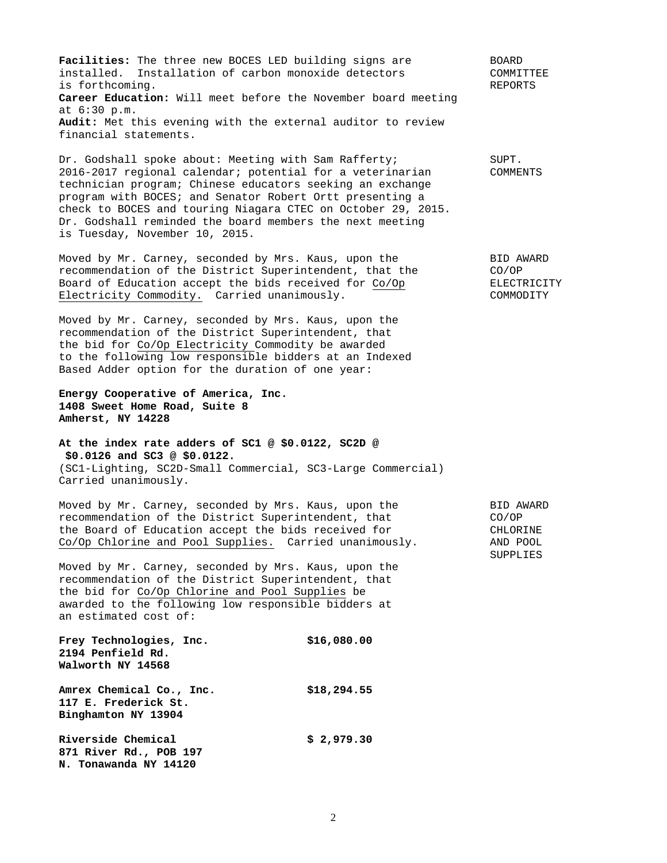**Facilities:** The three new BOCES LED building signs are BOARD installed. Installation of carbon monoxide detectors COMMITTEE is forthcoming. REPORTS **Career Education:** Will meet before the November board meeting at 6:30 p.m. **Audit:** Met this evening with the external auditor to review financial statements.

Dr. Godshall spoke about: Meeting with Sam Rafferty; SUPT. 2016-2017 regional calendar; potential for a veterinarian COMMENTS technician program; Chinese educators seeking an exchange program with BOCES; and Senator Robert Ortt presenting a check to BOCES and touring Niagara CTEC on October 29, 2015. Dr. Godshall reminded the board members the next meeting is Tuesday, November 10, 2015.

Moved by Mr. Carney, seconded by Mrs. Kaus, upon the BID AWARD recommendation of the District Superintendent, that the CO/OP recommendation of the District Superintendent, that the CO/OP<br>Board of Education accept the bids received for Co/Op ELECTRICITY Board of Education accept the bids received for Co/Op Electricity Commodity. Carried unanimously. The commodity commodity commodity of the commodity of the commodity

Moved by Mr. Carney, seconded by Mrs. Kaus, upon the recommendation of the District Superintendent, that the bid for Co/Op Electricity Commodity be awarded to the following low responsible bidders at an Indexed Based Adder option for the duration of one year:

## **Energy Cooperative of America, Inc. 1408 Sweet Home Road, Suite 8 Amherst, NY 14228**

## **At the index rate adders of SC1 @ \$0.0122, SC2D @ \$0.0126 and SC3 @ \$0.0122.**  (SC1-Lighting, SC2D-Small Commercial, SC3-Large Commercial) Carried unanimously.

Moved by Mr. Carney, seconded by Mrs. Kaus, upon the BID AWARD recommendation of the District Superintendent, that Moved by Mr. Carney, seconded by Mr. Mans, Special Co. 2010<br>
recommendation of the District Superintendent, that CO/OP<br>
the Board of Education accept the bids received for CHLORINE the Board of Education accept the bids received for THLORINE<br>Co/Op Chlorine and Pool Supplies. Carried unanimously. AND POOL Co/Op Chlorine and Pool Supplies. Carried unanimously.

Moved by Mr. Carney, seconded by Mrs. Kaus, upon the recommendation of the District Superintendent, that the bid for Co/Op Chlorine and Pool Supplies be awarded to the following low responsible bidders at an estimated cost of:

Frey Technologies, Inc. \$16,080.00 **2194 Penfield Rd. Walworth NY 14568 Amrex Chemical Co., Inc. \$18,294.55 117 E. Frederick St. Binghamton NY 13904 Riverside Chemical \$ 2,979.30 871 River Rd., POB 197 N. Tonawanda NY 14120** 

**SUPPLIES**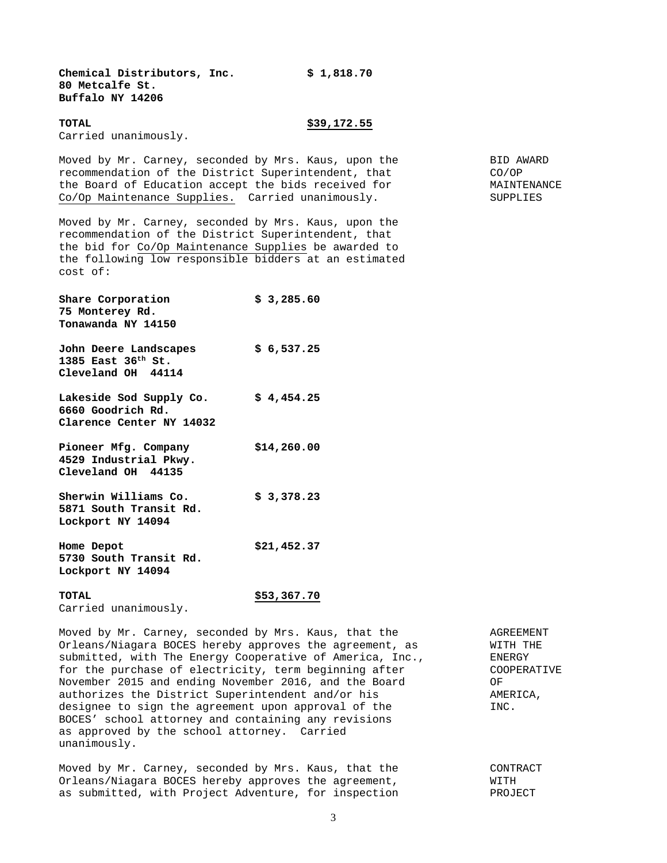**Chemical Distributors, Inc. \$ 1,818.70 80 Metcalfe St. Buffalo NY 14206** 

#### **TOTAL \$39,172.55**

Carried unanimously.

Moved by Mr. Carney, seconded by Mrs. Kaus, upon the Rame BID AWARD recommendation of the District Superintendent, that CO/OP the Board of Education accept the bids received for MAINTENANCE Co/Op Maintenance Supplies. Carried unanimously. SUPPLIES

Moved by Mr. Carney, seconded by Mrs. Kaus, upon the recommendation of the District Superintendent, that the bid for Co/Op Maintenance Supplies be awarded to the following low responsible bidders at an estimated cost of:

| Share Corporation<br>75 Monterey Rd.<br>Tonawanda NY 14150          | \$3,285.60 |
|---------------------------------------------------------------------|------------|
| John Deere Landscapes<br>1385 East $36th$ St.<br>Cleveland OH 44114 | \$6,537.25 |

Lakeside Sod Supply Co. \$4,454.25 **6660 Goodrich Rd. Clarence Center NY 14032** 

- **Pioneer Mfg. Company \$14,260.00 4529 Industrial Pkwy. Cleveland OH 44135**
- **Sherwin Williams Co. \$ 3,378.23 5871 South Transit Rd. Lockport NY 14094**
- **Home Depot \$21,452.37 5730 South Transit Rd. Lockport NY 14094**

#### **TOTAL \$53,367.70**

Carried unanimously.

Moved by Mr. Carney, seconded by Mrs. Kaus, that the  $\overline{A}$  AGREEMENT Orleans/Niagara BOCES hereby approves the agreement, as WITH THE submitted, with The Energy Cooperative of America, Inc., ENERGY for the purchase of electricity, term beginning after COOPERATIVE November 2015 and ending November 2016, and the Board OF authorizes the District Superintendent and/or his  $\blacksquare$  AMERICA, designee to sign the agreement upon approval of the  $INC$ . BOCES' school attorney and containing any revisions as approved by the school attorney. Carried unanimously.

Moved by Mr. Carney, seconded by Mrs. Kaus, that the **CONTRACT** Orleans/Niagara BOCES hereby approves the agreement, WITH as submitted, with Project Adventure, for inspection PROJECT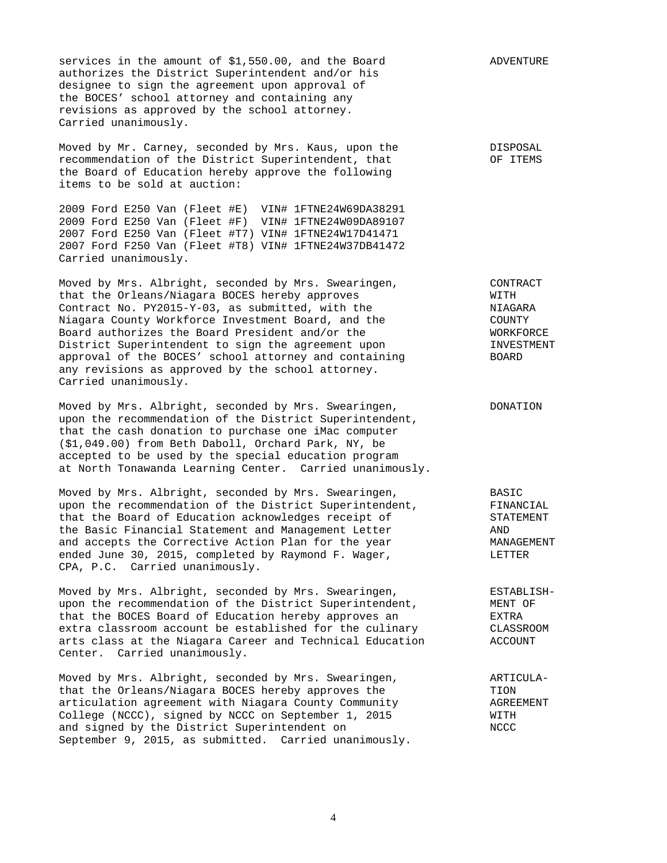services in the amount of \$1,550.00, and the Board ADVENTURE authorizes the District Superintendent and/or his designee to sign the agreement upon approval of the BOCES' school attorney and containing any revisions as approved by the school attorney. Carried unanimously.

Moved by Mr. Carney, seconded by Mrs. Kaus, upon the DISPOSAL recommendation of the District Superintendent, that  $O$ F ITEMS the Board of Education hereby approve the following items to be sold at auction:

2009 Ford E250 Van (Fleet #E) VIN# 1FTNE24W69DA38291 2009 Ford E250 Van (Fleet #F) VIN# 1FTNE24W09DA89107 2007 Ford E250 Van (Fleet #T7) VIN# 1FTNE24W17D41471 2007 Ford F250 Van (Fleet #T8) VIN# 1FTNE24W37DB41472 Carried unanimously.

Moved by Mrs. Albright, seconded by Mrs. Swearingen, CONTRACT that the Orleans/Niagara BOCES hereby approves WITH Contract No. PY2015-Y-03, as submitted, with the  $NIAGARA$ Niagara County Workforce Investment Board, and the COUNTY COUNTY<br>Board authorizes the Board President and/or the COUNTY WORKFORCE Board authorizes the Board President and/or the WORKFORCE MORKFORCE<br>District Superintendent to sign the agreement upon TINVESTMENT District Superintendent to sign the agreement upon INVESTMENT approval of the BOCES' school attorney and containing BOARD any revisions as approved by the school attorney. Carried unanimously.

Moved by Mrs. Albright, seconded by Mrs. Swearingen, The Monderton upon the recommendation of the District Superintendent, that the cash donation to purchase one iMac computer (\$1,049.00) from Beth Daboll, Orchard Park, NY, be accepted to be used by the special education program at North Tonawanda Learning Center. Carried unanimously.

Moved by Mrs. Albright, seconded by Mrs. Swearingen, BASIC upon the recommendation of the District Superintendent, FINANCIAL that the Board of Education acknowledges receipt of STATEMENT the Basic Financial Statement and Management Letter AND and accepts the Corrective Action Plan for the year **MANAGEMENT** ended June 30, 2015, completed by Raymond F. Wager, The Masser LETTER CPA, P.C. Carried unanimously.

Moved by Mrs. Albright, seconded by Mrs. Swearingen, ESTABLISHupon the recommendation of the District Superintendent, MENT OF that the BOCES Board of Education hereby approves an EXTRA extra classroom account be established for the culinary CLASSROOM arts class at the Niagara Career and Technical Education ACCOUNT Center. Carried unanimously.

Moved by Mrs. Albright, seconded by Mrs. Swearingen, ARTICULAthat the Orleans/Niagara BOCES hereby approves the TION TION<br>articulation agreement with Niagara County Community The AGREEMENT articulation agreement with Niagara County Community AGREEMENT College (NCCC), signed by NCCC on September 1, 2015 WITH and signed by the District Superintendent on NCCC September 9, 2015, as submitted. Carried unanimously.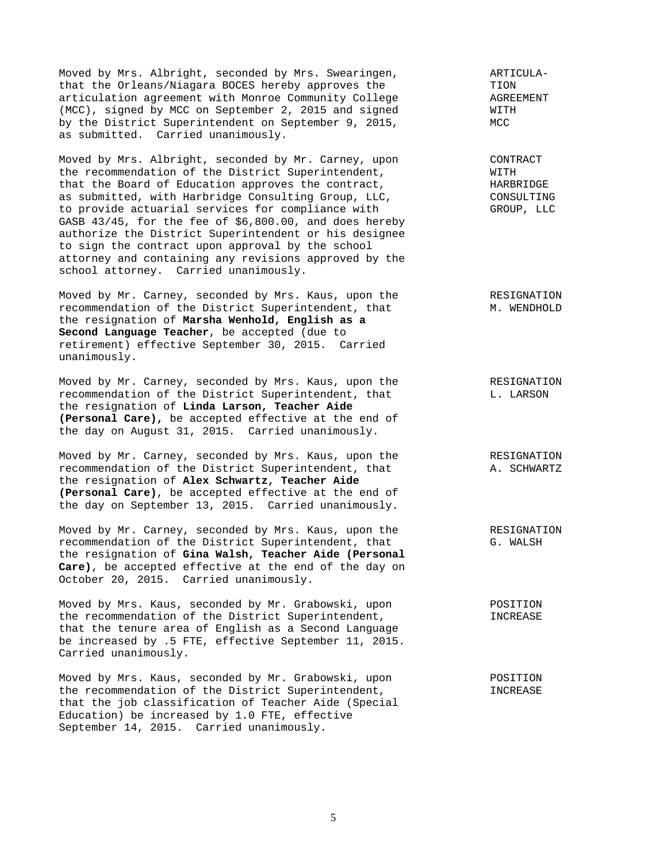Moved by Mrs. Albright, seconded by Mrs. Swearingen, The Mangled ARTICULA-<br>That the Orleans/Niagara BOCES hereby approves the The TION that the Orleans/Niagara BOCES hereby approves the TION TION<br>articulation agreement with Monroe Community College The AGREEMENT articulation agreement with Monroe Community College (MCC), signed by MCC on September 2, 2015 and signed WITH by the District Superintendent on September 9, 2015, MCC as submitted. Carried unanimously.

Moved by Mrs. Albright, seconded by Mr. Carney, upon CONTRACT the recommendation of the District Superintendent,  $NITH$ <br>that the Board of Education approves the contract,  $NATH$ that the Board of Education approves the contract, as submitted, with Harbridge Consulting Group, LLC, CONSULTING to provide actuarial services for compliance with GROUP, LLC GASB 43/45, for the fee of \$6,800.00, and does hereby authorize the District Superintendent or his designee to sign the contract upon approval by the school attorney and containing any revisions approved by the school attorney. Carried unanimously.

Moved by Mr. Carney, seconded by Mrs. Kaus, upon the RESIGNATION recommendation of the District Superintendent, that M. WENDHOLD the resignation of **Marsha Wenhold, English as a Second Language Teacher**, be accepted (due to retirement) effective September 30, 2015. Carried unanimously.

Moved by Mr. Carney, seconded by Mrs. Kaus, upon the RESIGNATION recommendation of the District Superintendent, that L. LARSON the resignation of **Linda Larson, Teacher Aide (Personal Care),** be accepted effective at the end of the day on August 31, 2015. Carried unanimously.

Moved by Mr. Carney, seconded by Mrs. Kaus, upon the RESIGNATION recommendation of the District Superintendent, that A. SCHWARTZ the resignation of **Alex Schwartz, Teacher Aide (Personal Care)**, be accepted effective at the end of the day on September 13, 2015. Carried unanimously.

Moved by Mr. Carney, seconded by Mrs. Kaus, upon the RESIGNATION recommendation of the District Superintendent, that G. WALSH the resignation of **Gina Walsh, Teacher Aide (Personal Care)**, be accepted effective at the end of the day on October 20, 2015. Carried unanimously.

Moved by Mrs. Kaus, seconded by Mr. Grabowski, upon POSITION the recommendation of the District Superintendent,  $INCREASE$ that the tenure area of English as a Second Language be increased by .5 FTE, effective September 11, 2015. Carried unanimously.

Moved by Mrs. Kaus, seconded by Mr. Grabowski, upon POSITION the recommendation of the District Superintendent,  $INCREASE$ that the job classification of Teacher Aide (Special Education) be increased by 1.0 FTE, effective September 14, 2015. Carried unanimously.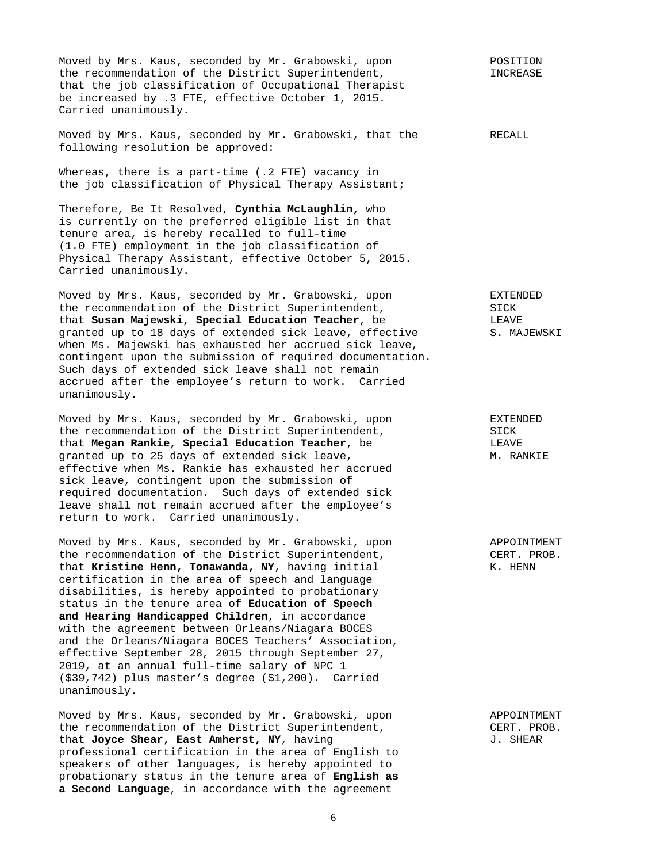Moved by Mrs. Kaus, seconded by Mr. Grabowski, upon POSITION the recommendation of the District Superintendent,  $I$  INCREASE that the job classification of Occupational Therapist be increased by .3 FTE, effective October 1, 2015. Carried unanimously.

Moved by Mrs. Kaus, seconded by Mr. Grabowski, that the RECALL following resolution be approved:

Whereas, there is a part-time (.2 FTE) vacancy in the job classification of Physical Therapy Assistant;

Therefore, Be It Resolved, **Cynthia McLaughlin,** who is currently on the preferred eligible list in that tenure area, is hereby recalled to full-time (1.0 FTE) employment in the job classification of Physical Therapy Assistant, effective October 5, 2015. Carried unanimously.

Moved by Mrs. Kaus, seconded by Mr. Grabowski, upon EXTENDED the recommendation of the District Superintendent, SICK that **Susan Majewski, Special Education Teacher**, be **LEAVE** LEAVE **LEAVE S. MAJEWSKI** granted up to 18 days of extended sick leave, effective when Ms. Majewski has exhausted her accrued sick leave, contingent upon the submission of required documentation. Such days of extended sick leave shall not remain accrued after the employee's return to work. Carried unanimously.

Moved by Mrs. Kaus, seconded by Mr. Grabowski, upon EXTENDED the recommendation of the District Superintendent,  $SICK$ <br>that **Megan Rankie, Special Education Teacher**, be SICK that **Megan Rankie, Special Education Teacher**, be LEAVE granted up to 25 days of extended sick leave, effective when Ms. Rankie has exhausted her accrued sick leave, contingent upon the submission of required documentation. Such days of extended sick leave shall not remain accrued after the employee's return to work. Carried unanimously.

Moved by Mrs. Kaus, seconded by Mr. Grabowski, upon APPOINTMENT the recommendation of the District Superintendent, CERT. PROB. that **Kristine Henn, Tonawanda, NY**, having initial K. HENN certification in the area of speech and language disabilities, is hereby appointed to probationary status in the tenure area of **Education of Speech and Hearing Handicapped Children**, in accordance with the agreement between Orleans/Niagara BOCES and the Orleans/Niagara BOCES Teachers' Association, effective September 28, 2015 through September 27, 2019, at an annual full-time salary of NPC 1 (\$39,742) plus master's degree (\$1,200). Carried unanimously.

Moved by Mrs. Kaus, seconded by Mr. Grabowski, upon APPOINTMENT the recommendation of the District Superintendent,  $CERT. PROB.$ <br>that Jovce Shear, East Amherst, NY, having and the CERT. SHEAR that **Joyce Shear, East Amherst, NY**, having professional certification in the area of English to speakers of other languages, is hereby appointed to probationary status in the tenure area of **English as a Second Language**, in accordance with the agreement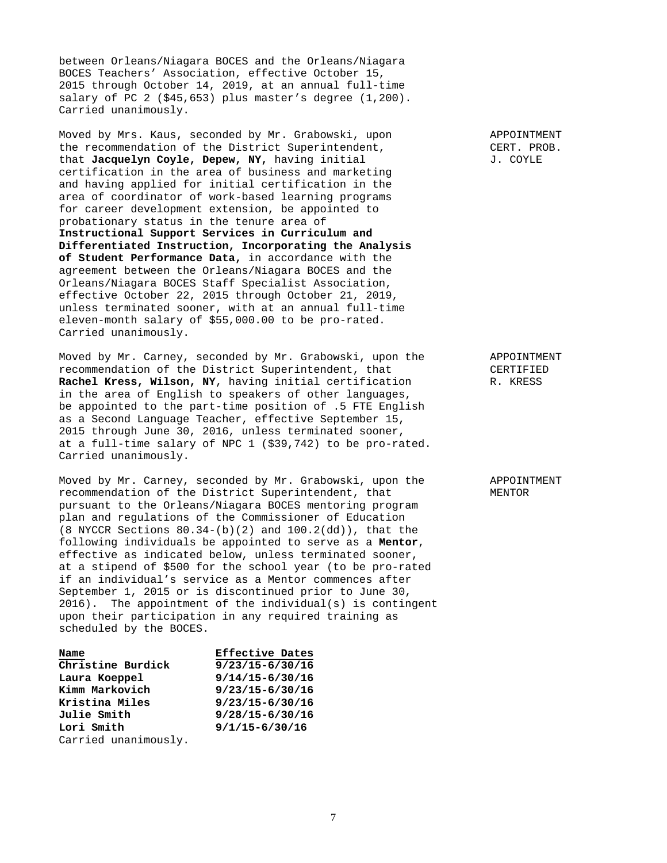between Orleans/Niagara BOCES and the Orleans/Niagara BOCES Teachers' Association, effective October 15, 2015 through October 14, 2019, at an annual full-time salary of PC 2  $(545, 653)$  plus master's degree  $(1, 200)$ . Carried unanimously.

Moved by Mrs. Kaus, seconded by Mr. Grabowski, upon APPOINTMENT the recommendation of the District Superintendent, CERT. PROB. that **Jacquelyn Coyle, Depew, NY,** having initial  $J. \text{COTLE}$ certification in the area of business and marketing and having applied for initial certification in the area of coordinator of work-based learning programs for career development extension, be appointed to probationary status in the tenure area of **Instructional Support Services in Curriculum and Differentiated Instruction, Incorporating the Analysis of Student Performance Data,** in accordance with the agreement between the Orleans/Niagara BOCES and the Orleans/Niagara BOCES Staff Specialist Association, effective October 22, 2015 through October 21, 2019, unless terminated sooner, with at an annual full-time eleven-month salary of \$55,000.00 to be pro-rated. Carried unanimously.

Moved by Mr. Carney, seconded by Mr. Grabowski, upon the APPOINTMENT recommendation of the District Superintendent, that CERTIFIED **Rachel Kress, Wilson, NY**, having initial certification R. KRESS in the area of English to speakers of other languages, be appointed to the part-time position of .5 FTE English as a Second Language Teacher, effective September 15, 2015 through June 30, 2016, unless terminated sooner, at a full-time salary of NPC 1 (\$39,742) to be pro-rated. Carried unanimously.

Moved by Mr. Carney, seconded by Mr. Grabowski, upon the APPOINTMENT recommendation of the District Superintendent, that MENTOR pursuant to the Orleans/Niagara BOCES mentoring program plan and regulations of the Commissioner of Education (8 NYCCR Sections 80.34-(b)(2) and 100.2(dd)), that the following individuals be appointed to serve as a **Mentor**, effective as indicated below, unless terminated sooner, at a stipend of \$500 for the school year (to be pro-rated if an individual's service as a Mentor commences after September 1, 2015 or is discontinued prior to June 30, 2016). The appointment of the individual(s) is contingent upon their participation in any required training as scheduled by the BOCES.

| Name                 | <b>Effective Dates</b> |
|----------------------|------------------------|
| Christine Burdick    | $9/23/15 - 6/30/16$    |
| Laura Koeppel        | $9/14/15 - 6/30/16$    |
| Kimm Markovich       | $9/23/15 - 6/30/16$    |
| Kristina Miles       | $9/23/15 - 6/30/16$    |
| Julie Smith          | $9/28/15 - 6/30/16$    |
| Lori Smith           | $9/1/15 - 6/30/16$     |
| Carried unanimously. |                        |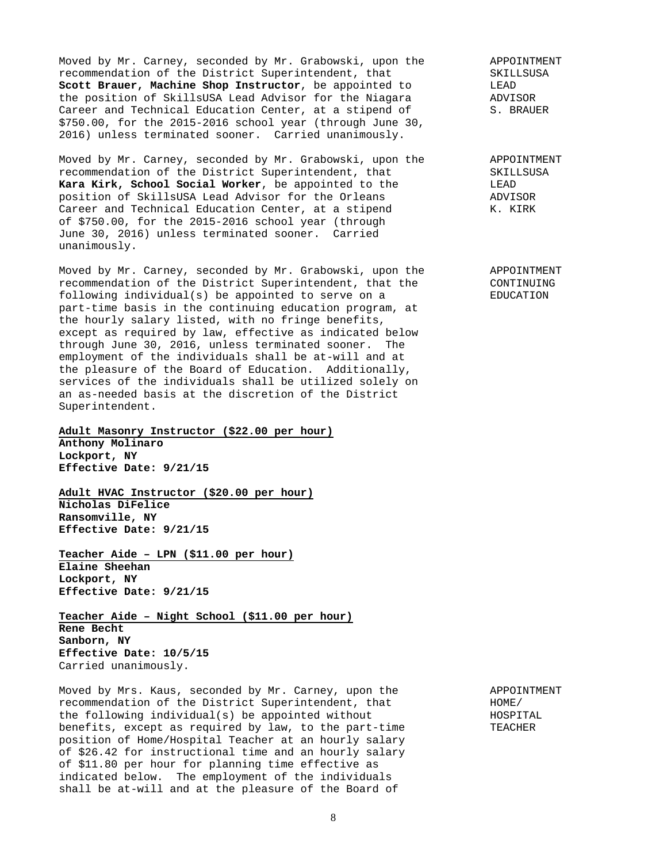Moved by Mr. Carney, seconded by Mr. Grabowski, upon the APPOINTMENT<br>recommendation of the District Superintendent, that SKILLSUSA recommendation of the District Superintendent, that SKILLSCOOT SKILLS **Scott Brauer, Machine Shop Instructor**, be appointed to the position of SkillsUSA Lead Advisor for the Niagara ADVISOR<br>Career and Technical Education Center, at a stipend of S. BRAUER Career and Technical Education Center, at a stipend of \$750.00, for the 2015-2016 school year (through June 30, 2016) unless terminated sooner. Carried unanimously.

Moved by Mr. Carney, seconded by Mr. Grabowski, upon the APPOINTMENT recommendation of the District Superintendent, that SKILLSUSA **Kara Kirk, School Social Worker**, be appointed to the LEAD LEAD<br>position of SkillsUSA Lead Advisor for the Orleans ADVISOR position of SkillsUSA Lead Advisor for the Orleans Career and Technical Education Center, at a stipend K. KIRK of \$750.00, for the 2015-2016 school year (through June 30, 2016) unless terminated sooner. Carried unanimously.

Moved by Mr. Carney, seconded by Mr. Grabowski, upon the APPOINTMENT recommendation of the District Superintendent, that the CONTINUING following individual(s) be appointed to serve on a EDUCATION part-time basis in the continuing education program, at the hourly salary listed, with no fringe benefits, except as required by law, effective as indicated below through June 30, 2016, unless terminated sooner. The employment of the individuals shall be at-will and at the pleasure of the Board of Education. Additionally, services of the individuals shall be utilized solely on an as-needed basis at the discretion of the District Superintendent.

# **Adult Masonry Instructor (\$22.00 per hour)**

**Anthony Molinaro Lockport, NY Effective Date: 9/21/15** 

**Adult HVAC Instructor (\$20.00 per hour) Nicholas DiFelice Ransomville, NY Effective Date: 9/21/15** 

**Teacher Aide – LPN (\$11.00 per hour) Elaine Sheehan Lockport, NY Effective Date: 9/21/15** 

**Teacher Aide – Night School (\$11.00 per hour) Rene Becht Sanborn, NY Effective Date: 10/5/15**  Carried unanimously.

Moved by Mrs. Kaus, seconded by Mr. Carney, upon the APPOINTMENT recommendation of the District Superintendent. that recommendation of the District Superintendent, that the following individual(s) be appointed without HOSPITAL benefits, except as required by law, to the part-time TEACHER position of Home/Hospital Teacher at an hourly salary of \$26.42 for instructional time and an hourly salary of \$11.80 per hour for planning time effective as indicated below. The employment of the individuals shall be at-will and at the pleasure of the Board of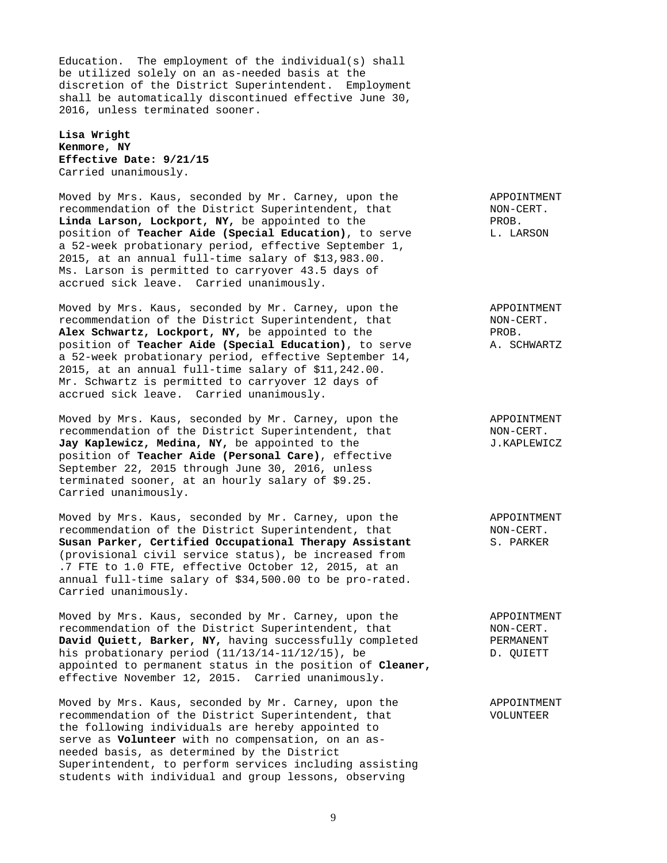Education. The employment of the individual(s) shall be utilized solely on an as-needed basis at the discretion of the District Superintendent. Employment shall be automatically discontinued effective June 30, 2016, unless terminated sooner.

**Lisa Wright Kenmore, NY Effective Date: 9/21/15** Carried unanimously.

Moved by Mrs. Kaus, seconded by Mr. Carney, upon the APPOINTMENT recommendation of the District Superintendent, that  $NON-CENT$ .<br>The NON-CERT. Linda Larson, Lockport, NY, be appointed to the **PROB.** position of **Teacher Aide (Special Education)**, to serve L. LARSON a 52-week probationary period, effective September 1, 2015, at an annual full-time salary of \$13,983.00. Ms. Larson is permitted to carryover 43.5 days of accrued sick leave. Carried unanimously.

Moved by Mrs. Kaus, seconded by Mr. Carney, upon the APPOINTMENT recommendation of the District Superintendent, that NON-CERT. Alex Schwartz, Lockport, NY, be appointed to the PROB. position of **Teacher Aide (Special Education)**, to serve A. SCHWARTZ a 52-week probationary period, effective September 14, 2015, at an annual full-time salary of \$11,242.00. Mr. Schwartz is permitted to carryover 12 days of accrued sick leave. Carried unanimously.

Moved by Mrs. Kaus, seconded by Mr. Carney, upon the APPOINTMENT recommendation of the District Superintendent, that NON-CERT. Jay Kaplewicz, Medina, NY, be appointed to the  $J.KAPLEWICZ$ position of **Teacher Aide (Personal Care)**, effective September 22, 2015 through June 30, 2016, unless terminated sooner, at an hourly salary of \$9.25. Carried unanimously.

Moved by Mrs. Kaus, seconded by Mr. Carney, upon the APPOINTMENT recommendation of the District Superintendent, that NON-CERT. **Susan Parker, Certified Occupational Therapy Assistant** S. PARKER (provisional civil service status), be increased from .7 FTE to 1.0 FTE, effective October 12, 2015, at an annual full-time salary of \$34,500.00 to be pro-rated. Carried unanimously.

Moved by Mrs. Kaus, seconded by Mr. Carney, upon the APPOINTMENT<br>recommendation of the District Superintendent, that ANON-CERT. recommendation of the District Superintendent, that **David Quiett, Barker, NY, having successfully completed PERMANENT** his probationary period (11/13/14-11/12/15), be D. QUIETT appointed to permanent status in the position of **Cleaner,**  effective November 12, 2015. Carried unanimously.

Moved by Mrs. Kaus, seconded by Mr. Carney, upon the APPOINTMENT recommendation of the District Superintendent, that VOLUNTEER the following individuals are hereby appointed to serve as **Volunteer** with no compensation, on an asneeded basis, as determined by the District Superintendent, to perform services including assisting students with individual and group lessons, observing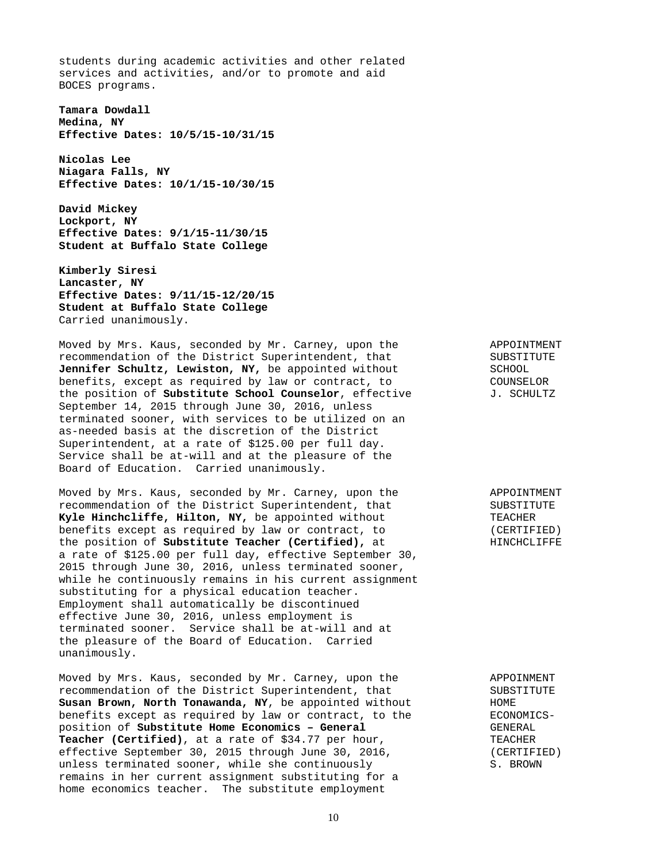students during academic activities and other related services and activities, and/or to promote and aid BOCES programs.

**Tamara Dowdall Medina, NY Effective Dates: 10/5/15-10/31/15** 

**Nicolas Lee Niagara Falls, NY Effective Dates: 10/1/15-10/30/15** 

**David Mickey Lockport, NY Effective Dates: 9/1/15-11/30/15 Student at Buffalo State College** 

**Kimberly Siresi Lancaster, NY Effective Dates: 9/11/15-12/20/15 Student at Buffalo State College** Carried unanimously.

Moved by Mrs. Kaus, seconded by Mr. Carney, upon the APPOINTMENT recommendation of the District Superintendent, that SUBSTITUTE<br>Jennifer Schultz, Lewiston, NY, be appointed without SCHOOL Jennifer Schultz, Lewiston, NY, be appointed without benefits, except as required by law or contract, to COUNSELOR<br>the position of **Substitute School Counselor**, effective J. SCHULTZ the position of **Substitute School Counselor**, effective September 14, 2015 through June 30, 2016, unless terminated sooner, with services to be utilized on an as-needed basis at the discretion of the District Superintendent, at a rate of \$125.00 per full day. Service shall be at-will and at the pleasure of the Board of Education. Carried unanimously.

Moved by Mrs. Kaus, seconded by Mr. Carney, upon the APPOINTMENT recommendation of the District Superintendent, that SUBSTITUTE<br> **Kyle Hinchcliffe, Hilton, NY,** be appointed without TEACHER Kyle Hinchcliffe, Hilton, NY, be appointed without benefits except as required by law or contract, to (CERTIFIED)<br>the position of **Substitute Teacher (Certified),** at **hetaphy HINCHCLIFFE** the position of **Substitute Teacher (Certified),** at a rate of \$125.00 per full day, effective September 30, 2015 through June 30, 2016, unless terminated sooner, while he continuously remains in his current assignment substituting for a physical education teacher. Employment shall automatically be discontinued effective June 30, 2016, unless employment is terminated sooner. Service shall be at-will and at the pleasure of the Board of Education. Carried unanimously.

Moved by Mrs. Kaus, seconded by Mr. Carney, upon the APPOINMENT recommendation of the District Superintendent, that SUBSTITUTE<br>
Susan Brown, North Tonawanda, NY, be appointed without HOME **Susan Brown, North Tonawanda, NY**, be appointed without **HOME** HOME<br>benefits except as required by law or contract, to the **HECON** ECONOMICSbenefits except as required by law or contract, to the position of **Substitute Home Economics - General** GENERAL **Teacher (Certified)**, at a rate of \$34.77 per hour, TEACHER effective September 30, 2015 through June 30, 2016, (CERTIFIED)<br>unless terminated sooner, while she continuously S. BROWN unless terminated sooner, while she continuously remains in her current assignment substituting for a home economics teacher. The substitute employment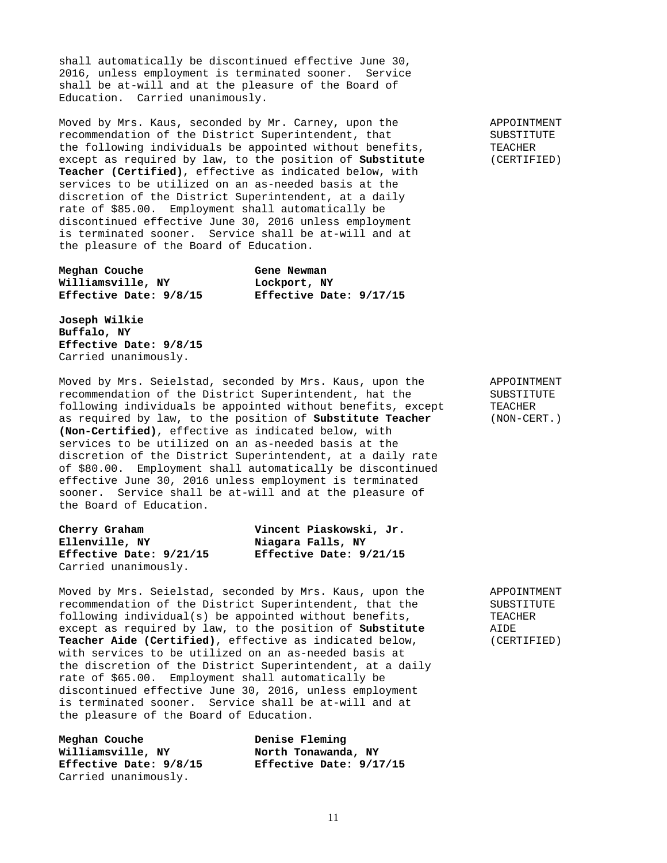shall automatically be discontinued effective June 30, 2016, unless employment is terminated sooner. Service shall be at-will and at the pleasure of the Board of Education. Carried unanimously.

Moved by Mrs. Kaus, seconded by Mr. Carney, upon the APPOINTMENT recommendation of the District Superintendent, that SUBSTITUTE the following individuals be appointed without benefits, TEACHER except as required by law, to the position of **Substitute** (CERTIFIED) **Teacher (Certified)**, effective as indicated below, with services to be utilized on an as-needed basis at the discretion of the District Superintendent, at a daily rate of \$85.00. Employment shall automatically be discontinued effective June 30, 2016 unless employment is terminated sooner. Service shall be at-will and at the pleasure of the Board of Education.

**Meghan Couche** Gene Newman **Williamsville, NY Lockport, NY** 

**Effective Date: 9/8/15 Effective Date: 9/17/15** 

**Joseph Wilkie Buffalo, NY Effective Date: 9/8/15** Carried unanimously.

Moved by Mrs. Seielstad, seconded by Mrs. Kaus, upon the APPOINTMENT recommendation of the District Superintendent, hat the SUBSTITUTE following individuals be appointed without benefits, except TEACHER as required by law, to the position of **Substitute Teacher** (NON-CERT.) **(Non-Certified)**, effective as indicated below, with services to be utilized on an as-needed basis at the discretion of the District Superintendent, at a daily rate of \$80.00. Employment shall automatically be discontinued effective June 30, 2016 unless employment is terminated sooner. Service shall be at-will and at the pleasure of the Board of Education.

| Cherry Graham           | Vincent Piaskowski, Jr. |  |
|-------------------------|-------------------------|--|
| Ellenville, NY          | Niagara Falls, NY       |  |
| Effective Date: 9/21/15 | Effective Date: 9/21/15 |  |
| Carried unanimously.    |                         |  |

Moved by Mrs. Seielstad, seconded by Mrs. Kaus, upon the APPOINTMENT recommendation of the District Superintendent, that the SUBSTITUTE following individual(s) be appointed without benefits, TEACHER<br>except as required by law, to the position of **Substitute** AIDE except as required by law, to the position of **Substitute Teacher Aide (Certified)**, effective as indicated below, (CERTIFIED) with services to be utilized on an as-needed basis at the discretion of the District Superintendent, at a daily rate of \$65.00. Employment shall automatically be discontinued effective June 30, 2016, unless employment is terminated sooner. Service shall be at-will and at the pleasure of the Board of Education.

**Meghan Couche Denise Fleming** Williamsville, NY **North Tonawanda**, NY **Effective Date: 9/8/15 Effective Date: 9/17/15** Carried unanimously.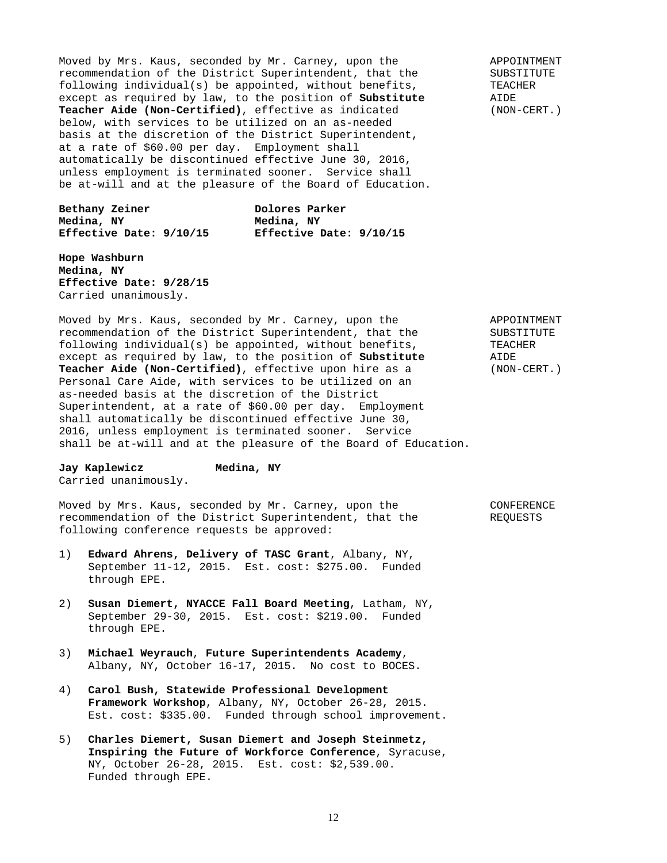Moved by Mrs. Kaus, seconded by Mr. Carney, upon the APPOINTMENT recommendation of the District Superintendent, that the SUBSTITUTE<br>following individual(s) be appointed, without benefits, TEACHER following individual(s) be appointed, without benefits, TEACI<br>except as required by law, to the position of **Substitute** AIDE except as required by law, to the position of Substitute **Teacher Aide (Non-Certified)**, effective as indicated (NON-CERT.) below, with services to be utilized on an as-needed basis at the discretion of the District Superintendent, at a rate of \$60.00 per day. Employment shall automatically be discontinued effective June 30, 2016, unless employment is terminated sooner. Service shall be at-will and at the pleasure of the Board of Education.

Bethany Zeiner **Dolores** Parker **Medina, NY**<br>**Effective Date: 9/10/15** Bffective I

**Effective Date: 9/10/15 Effective Date: 9/10/15** 

**Hope Washburn Medina, NY Effective Date: 9/28/15** Carried unanimously.

Moved by Mrs. Kaus, seconded by Mr. Carney, upon the APPOINTMENT recommendation of the District Superintendent, that the SUBSTITUTE following individual(s) be appointed, without benefits, TEACHER<br>except as required by law, to the position of **Substitute** AIDE except as required by law, to the position of Substitute **Teacher Aide (Non-Certified)**, effective upon hire as a (NON-CERT.) Personal Care Aide, with services to be utilized on an as-needed basis at the discretion of the District Superintendent, at a rate of \$60.00 per day. Employment shall automatically be discontinued effective June 30, 2016, unless employment is terminated sooner. Service shall be at-will and at the pleasure of the Board of Education.

**Jay Kaplewicz Medina, NY** Carried unanimously.

Moved by Mrs. Kaus, seconded by Mr. Carney, upon the CONFERENCE recommendation of the District Superintendent, that the REQUESTS following conference requests be approved:

- 1) **Edward Ahrens, Delivery of TASC Grant**, Albany, NY, September 11-12, 2015. Est. cost: \$275.00. Funded through EPE.
- 2) **Susan Diemert, NYACCE Fall Board Meeting**, Latham, NY, September 29-30, 2015. Est. cost: \$219.00. Funded through EPE.
- 3) **Michael Weyrauch**, **Future Superintendents Academy**, Albany, NY, October 16-17, 2015. No cost to BOCES.
- 4) **Carol Bush, Statewide Professional Development Framework Workshop**, Albany, NY, October 26-28, 2015. Est. cost: \$335.00. Funded through school improvement.
- 5) **Charles Diemert, Susan Diemert and Joseph Steinmetz, Inspiring the Future of Workforce Conference**, Syracuse, NY, October 26-28, 2015. Est. cost: \$2,539.00. Funded through EPE.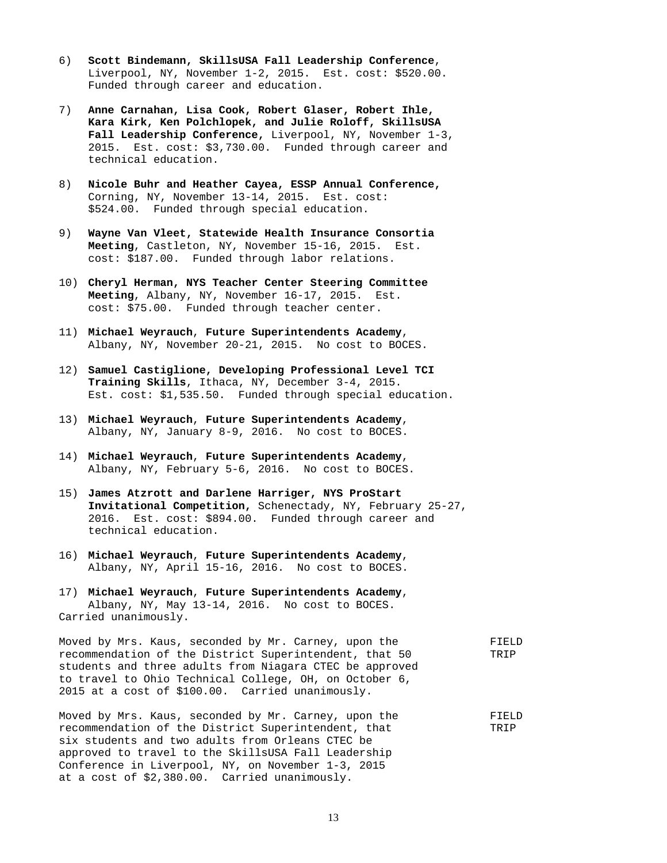- 6) **Scott Bindemann, SkillsUSA Fall Leadership Conference**, Liverpool, NY, November 1-2, 2015. Est. cost: \$520.00. Funded through career and education.
- 7) **Anne Carnahan, Lisa Cook, Robert Glaser, Robert Ihle, Kara Kirk, Ken Polchlopek, and Julie Roloff, SkillsUSA Fall Leadership Conference,** Liverpool, NY, November 1-3, 2015. Est. cost: \$3,730.00. Funded through career and technical education.
- 8) **Nicole Buhr and Heather Cayea, ESSP Annual Conference,**  Corning, NY, November 13-14, 2015. Est. cost: \$524.00. Funded through special education.
- 9) **Wayne Van Vleet, Statewide Health Insurance Consortia Meeting**, Castleton, NY, November 15-16, 2015. Est. cost: \$187.00. Funded through labor relations.
- 10) **Cheryl Herman, NYS Teacher Center Steering Committee Meeting**, Albany, NY, November 16-17, 2015. Est. cost: \$75.00. Funded through teacher center.
- 11) **Michael Weyrauch**, **Future Superintendents Academy**, Albany, NY, November 20-21, 2015. No cost to BOCES.
- 12) **Samuel Castiglione, Developing Professional Level TCI Training Skills**, Ithaca, NY, December 3-4, 2015. Est. cost: \$1,535.50. Funded through special education.
- 13) **Michael Weyrauch**, **Future Superintendents Academy**, Albany, NY, January 8-9, 2016. No cost to BOCES.
- 14) **Michael Weyrauch**, **Future Superintendents Academy**, Albany, NY, February 5-6, 2016. No cost to BOCES.
- 15) **James Atzrott and Darlene Harriger, NYS ProStart Invitational Competition,** Schenectady, NY, February 25-27, 2016. Est. cost: \$894.00. Funded through career and technical education.
- 16) **Michael Weyrauch**, **Future Superintendents Academy**, Albany, NY, April 15-16, 2016. No cost to BOCES.
- 17) **Michael Weyrauch**, **Future Superintendents Academy**, Albany, NY, May 13-14, 2016. No cost to BOCES. Carried unanimously.

Moved by Mrs. Kaus, seconded by Mr. Carney, upon the FIELD recommendation of the District Superintendent, that 50 TRIP students and three adults from Niagara CTEC be approved to travel to Ohio Technical College, OH, on October 6, 2015 at a cost of \$100.00. Carried unanimously.

Moved by Mrs. Kaus, seconded by Mr. Carney, upon the FIELD recommendation of the District Superintendent, that TRIP six students and two adults from Orleans CTEC be approved to travel to the SkillsUSA Fall Leadership Conference in Liverpool, NY, on November 1-3, 2015 at a cost of \$2,380.00. Carried unanimously.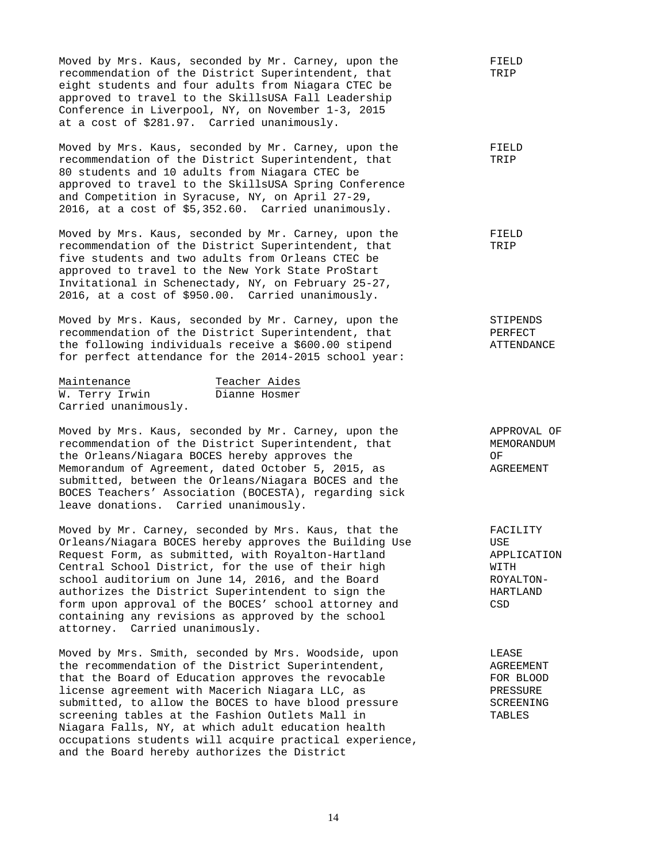| Moved by Mrs. Kaus, seconded by Mr. Carney, upon the<br>recommendation of the District Superintendent, that<br>eight students and four adults from Niagara CTEC be<br>approved to travel to the SkillsUSA Fall Leadership<br>Conference in Liverpool, NY, on November 1-3, 2015<br>at a cost of \$281.97. Carried unanimously.                                                                                                                                                                  | FIELD<br>TRIP                                                          |
|-------------------------------------------------------------------------------------------------------------------------------------------------------------------------------------------------------------------------------------------------------------------------------------------------------------------------------------------------------------------------------------------------------------------------------------------------------------------------------------------------|------------------------------------------------------------------------|
| Moved by Mrs. Kaus, seconded by Mr. Carney, upon the<br>recommendation of the District Superintendent, that<br>80 students and 10 adults from Niagara CTEC be<br>approved to travel to the SkillsUSA Spring Conference<br>and Competition in Syracuse, NY, on April 27-29,<br>2016, at a cost of \$5,352.60. Carried unanimously.                                                                                                                                                               | FIELD<br>TRIP                                                          |
| Moved by Mrs. Kaus, seconded by Mr. Carney, upon the<br>recommendation of the District Superintendent, that<br>five students and two adults from Orleans CTEC be<br>approved to travel to the New York State ProStart<br>Invitational in Schenectady, NY, on February 25-27,<br>2016, at a cost of \$950.00. Carried unanimously.                                                                                                                                                               | FIELD<br>TRIP                                                          |
| Moved by Mrs. Kaus, seconded by Mr. Carney, upon the<br>recommendation of the District Superintendent, that<br>the following individuals receive a \$600.00 stipend<br>for perfect attendance for the 2014-2015 school year:                                                                                                                                                                                                                                                                    | STIPENDS<br>PERFECT<br>ATTENDANCE                                      |
| Teacher Aides<br>Maintenance<br>W. Terry Irwin<br>Dianne Hosmer<br>Carried unanimously.                                                                                                                                                                                                                                                                                                                                                                                                         |                                                                        |
| Moved by Mrs. Kaus, seconded by Mr. Carney, upon the<br>recommendation of the District Superintendent, that<br>the Orleans/Niagara BOCES hereby approves the<br>Memorandum of Agreement, dated October 5, 2015, as<br>submitted, between the Orleans/Niagara BOCES and the<br>BOCES Teachers' Association (BOCESTA), regarding sick<br>leave donations. Carried unanimously.                                                                                                                    | APPROVAL OF<br>MEMORANDUM<br>ΟF<br>AGREEMENT                           |
| Moved by Mr. Carney, seconded by Mrs. Kaus, that the<br>Orleans/Niagara BOCES hereby approves the Building Use<br>Request Form, as submitted, with Royalton-Hartland<br>Central School District, for the use of their high<br>school auditorium on June 14, 2016, and the Board<br>authorizes the District Superintendent to sign the<br>form upon approval of the BOCES' school attorney and<br>containing any revisions as approved by the school<br>attorney. Carried unanimously.           | FACILITY<br>USE<br>APPLICATION<br>WITH<br>ROYALTON-<br>HARTLAND<br>CSD |
| Moved by Mrs. Smith, seconded by Mrs. Woodside, upon<br>the recommendation of the District Superintendent,<br>that the Board of Education approves the revocable<br>license agreement with Macerich Niagara LLC, as<br>submitted, to allow the BOCES to have blood pressure<br>screening tables at the Fashion Outlets Mall in<br>Niagara Falls, NY, at which adult education health<br>occupations students will acquire practical experience,<br>and the Board hereby authorizes the District | LEASE<br>AGREEMENT<br>FOR BLOOD<br>PRESSURE<br>SCREENING<br>TABLES     |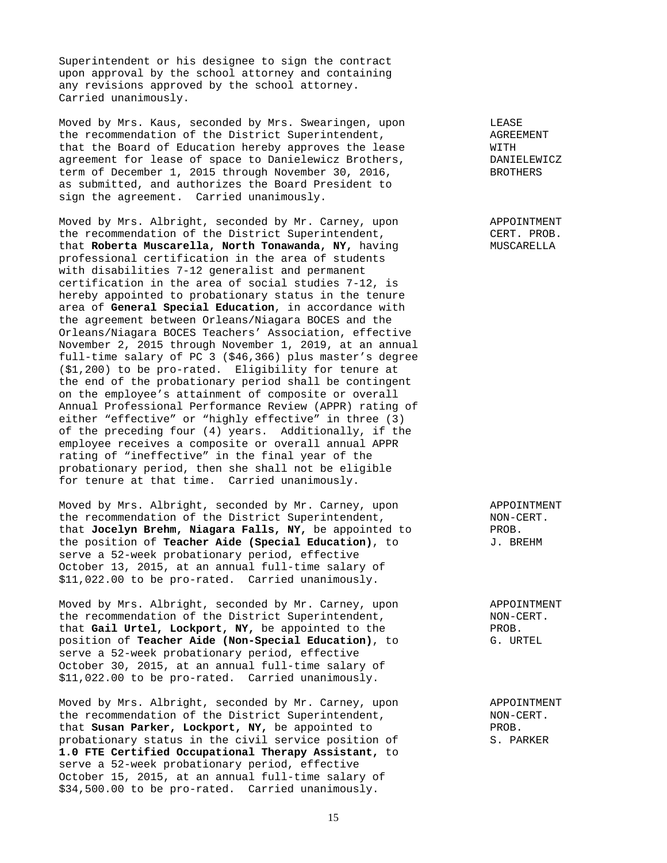Superintendent or his designee to sign the contract upon approval by the school attorney and containing any revisions approved by the school attorney. Carried unanimously.

Moved by Mrs. Kaus, seconded by Mrs. Swearingen, upon LEASE the recommendation of the District Superintendent,<br>that the Board of Education hereby approves the lease  $\overline{M}$ that the Board of Education hereby approves the lease  $\overline{W}$  with  $\overline{W}$  arreement for lease of space to Danielewicz Brothers,  $\overline{W}$  DANIELEWICZ agreement for lease of space to Danielewicz Brothers, The Communist DANIELEWITHERS<br>
term of December 1, 2015 through November 30, 2016, term of December 1, 2015 through November 30, 2016, as submitted, and authorizes the Board President to sign the agreement. Carried unanimously.

Moved by Mrs. Albright, seconded by Mr. Carney, upon APPOINTMENT the recommendation of the District Superintendent, CERT. PROB.<br>
that Roberta Muscarella, North Tonawanda, NY, having MUSCARELLA that **Roberta Muscarella, North Tonawanda, NY,** having professional certification in the area of students with disabilities 7-12 generalist and permanent certification in the area of social studies 7-12, is hereby appointed to probationary status in the tenure area of **General Special Education**, in accordance with the agreement between Orleans/Niagara BOCES and the Orleans/Niagara BOCES Teachers' Association, effective November 2, 2015 through November 1, 2019, at an annual full-time salary of PC 3 (\$46,366) plus master's degree (\$1,200) to be pro-rated. Eligibility for tenure at the end of the probationary period shall be contingent on the employee's attainment of composite or overall Annual Professional Performance Review (APPR) rating of either "effective" or "highly effective" in three (3) of the preceding four (4) years. Additionally, if the employee receives a composite or overall annual APPR rating of "ineffective" in the final year of the probationary period, then she shall not be eligible for tenure at that time. Carried unanimously.

Moved by Mrs. Albright, seconded by Mr. Carney, upon and APPOINTMENT<br>the recommendation of the District Superintendent, and MON-CERT. the recommendation of the District Superintendent,<br>that Jocelyn Brehm, Niagara Falls, NY, be appointed to PROB. that **Jocelyn Brehm, Niagara Falls, NY,** be appointed to the position of **Teacher Aide (Special Education)**, to  $J$ . BREHM serve a 52-week probationary period, effective October 13, 2015, at an annual full-time salary of \$11,022.00 to be pro-rated. Carried unanimously.

Moved by Mrs. Albright, seconded by Mr. Carney, upon APPOINTMENT the recommendation of the District Superintendent,  $N = N(1 - 1)$  NON-CERT.<br>that Gail Urtel, Lockport, NY, be appointed to the  $N(0)$  PROB. that Gail Urtel, Lockport, NY, be appointed to the position of **Teacher Aide (Non-Special Education)**, to G. URTEL serve a 52-week probationary period, effective October 30, 2015, at an annual full-time salary of \$11,022.00 to be pro-rated. Carried unanimously.

Moved by Mrs. Albright, seconded by Mr. Carney, upon APPOINTMENT the recommendation of the District Superintendent, NON-CERT. that **Susan Parker, Lockport, NY,** be appointed to PROB. probationary status in the civil service position of S. PARKER **1.0 FTE Certified Occupational Therapy Assistant,** to serve a 52-week probationary period, effective October 15, 2015, at an annual full-time salary of \$34,500.00 to be pro-rated. Carried unanimously.